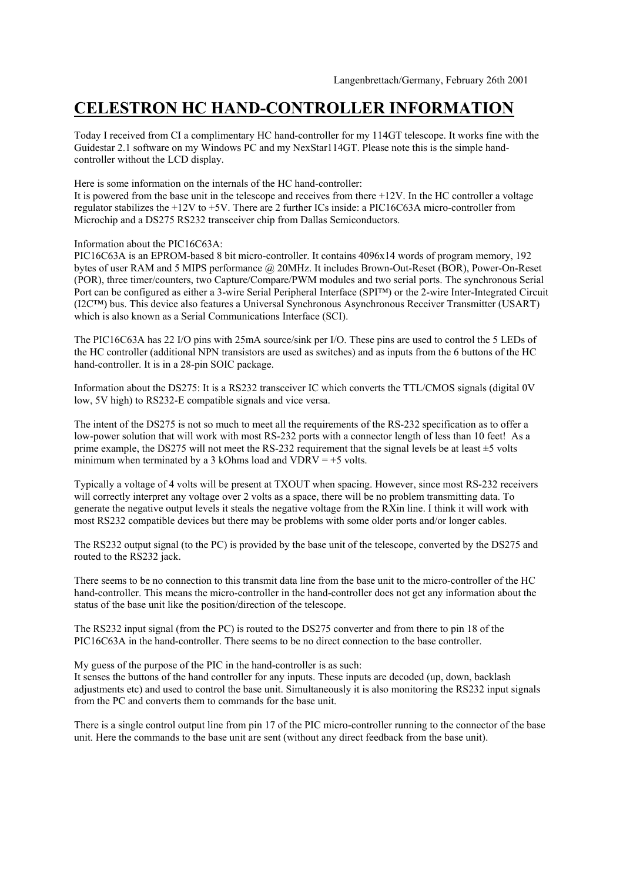## **CELESTRON HC HAND-CONTROLLER INFORMATION**

Today I received from CI a complimentary HC hand-controller for my 114GT telescope. It works fine with the Guidestar 2.1 software on my Windows PC and my NexStar114GT. Please note this is the simple handcontroller without the LCD display.

Here is some information on the internals of the HC hand-controller:

It is powered from the base unit in the telescope and receives from there +12V. In the HC controller a voltage regulator stabilizes the +12V to +5V. There are 2 further ICs inside: a PIC16C63A micro-controller from Microchip and a DS275 RS232 transceiver chip from Dallas Semiconductors.

Information about the PIC16C63A:

PIC16C63A is an EPROM-based 8 bit micro-controller. It contains 4096x14 words of program memory, 192 bytes of user RAM and 5 MIPS performance @ 20MHz. It includes Brown-Out-Reset (BOR), Power-On-Reset (POR), three timer/counters, two Capture/Compare/PWM modules and two serial ports. The synchronous Serial Port can be configured as either a 3-wire Serial Peripheral Interface (SPI™) or the 2-wire Inter-Integrated Circuit (I2C™) bus. This device also features a Universal Synchronous Asynchronous Receiver Transmitter (USART) which is also known as a Serial Communications Interface (SCI).

The PIC16C63A has 22 I/O pins with 25mA source/sink per I/O. These pins are used to control the 5 LEDs of the HC controller (additional NPN transistors are used as switches) and as inputs from the 6 buttons of the HC hand-controller. It is in a 28-pin SOIC package.

Information about the DS275: It is a RS232 transceiver IC which converts the TTL/CMOS signals (digital 0V low, 5V high) to RS232-E compatible signals and vice versa.

The intent of the DS275 is not so much to meet all the requirements of the RS-232 specification as to offer a low-power solution that will work with most RS-232 ports with a connector length of less than 10 feet! As a prime example, the DS275 will not meet the RS-232 requirement that the signal levels be at least ±5 volts minimum when terminated by a 3 kOhms load and  $VDRV = +5$  volts.

Typically a voltage of 4 volts will be present at TXOUT when spacing. However, since most RS-232 receivers will correctly interpret any voltage over 2 volts as a space, there will be no problem transmitting data. To generate the negative output levels it steals the negative voltage from the RXin line. I think it will work with most RS232 compatible devices but there may be problems with some older ports and/or longer cables.

The RS232 output signal (to the PC) is provided by the base unit of the telescope, converted by the DS275 and routed to the RS232 jack.

There seems to be no connection to this transmit data line from the base unit to the micro-controller of the HC hand-controller. This means the micro-controller in the hand-controller does not get any information about the status of the base unit like the position/direction of the telescope.

The RS232 input signal (from the PC) is routed to the DS275 converter and from there to pin 18 of the PIC16C63A in the hand-controller. There seems to be no direct connection to the base controller.

My guess of the purpose of the PIC in the hand-controller is as such:

It senses the buttons of the hand controller for any inputs. These inputs are decoded (up, down, backlash adjustments etc) and used to control the base unit. Simultaneously it is also monitoring the RS232 input signals from the PC and converts them to commands for the base unit.

There is a single control output line from pin 17 of the PIC micro-controller running to the connector of the base unit. Here the commands to the base unit are sent (without any direct feedback from the base unit).